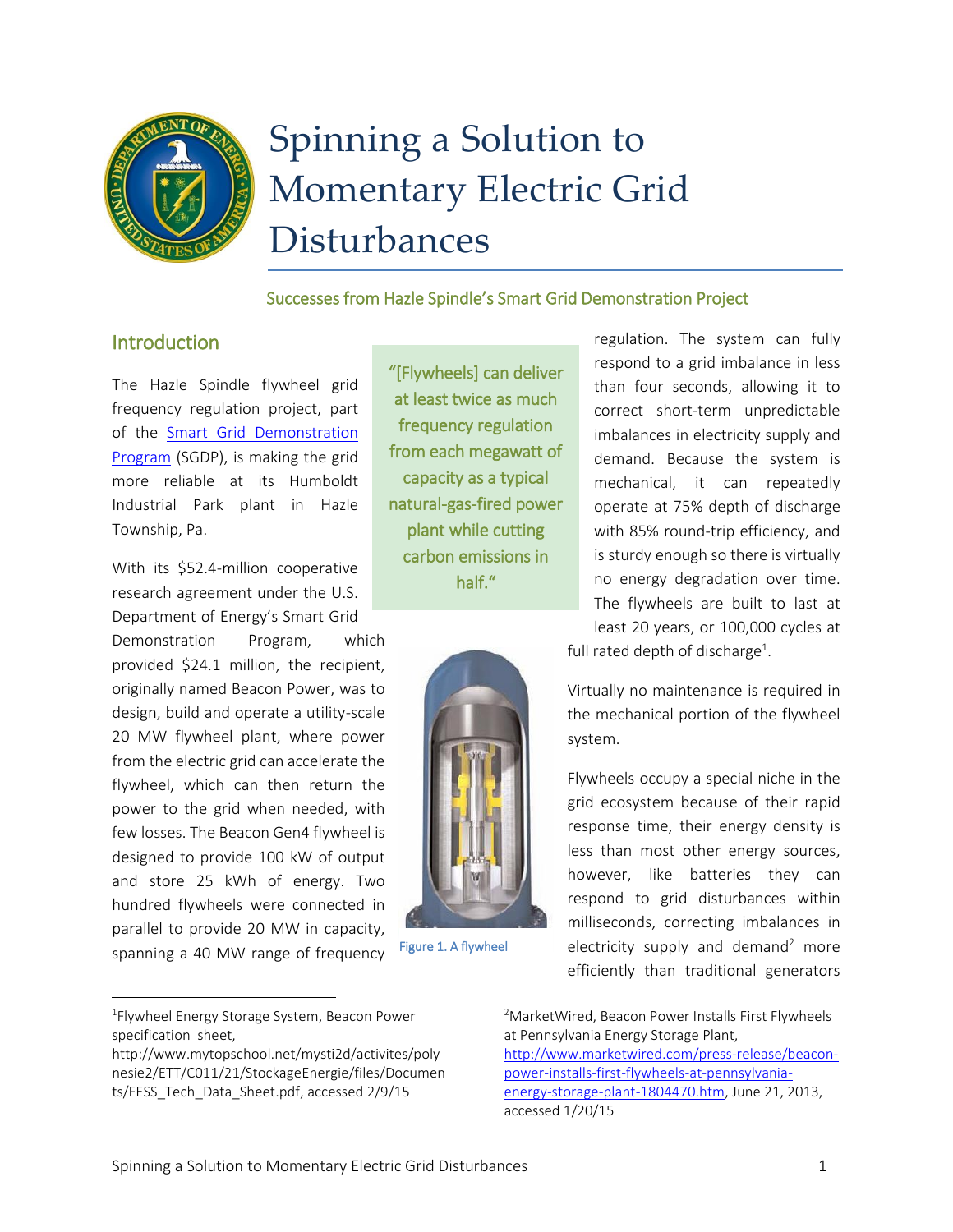

# Spinning a Solution to Momentary Electric Grid Disturbances

#### Successes from Hazle Spindle's Smart Grid Demonstration Project

#### **Introduction**

The Hazle Spindle flywheel grid frequency regulation project, part of the Smart Grid [Demonstration](https://smartgrid.gov/recovery_act/overview/smart_grid_demonstration_program)  [Program](https://smartgrid.gov/recovery_act/overview/smart_grid_demonstration_program) (SGDP), is making the grid more reliable at its Humboldt Industrial Park plant in Hazle Township, Pa.

With its \$52.4-million cooperative research agreement under the U.S. Department of Energy's Smart Grid

Demonstration Program, which provided \$24.1 million, the recipient, originally named Beacon Power, was to design, build and operate a utility-scale 20 MW flywheel plant, where power from the electric grid can accelerate the flywheel, which can then return the power to the grid when needed, with few losses. The Beacon Gen4 flywheel is designed to provide 100 kW of output and store 25 kWh of energy. Two hundred flywheels were connected in parallel to provide 20 MW in capacity, spanning a 40 MW range of frequency

"[Flywheels] can deliver at least twice as much frequency regulation from each megawatt of capacity as a typical natural-gas-fired power plant while cutting carbon emissions in half."



Figure 1. A flywheel

regulation. The system can fully respond to a grid imbalance in less than four seconds, allowing it to correct short-term unpredictable imbalances in electricity supply and demand. Because the system is mechanical, it can repeatedly operate at 75% depth of discharge with 85% round-trip efficiency, and is sturdy enough so there is virtually no energy degradation over time. The flywheels are built to last at least 20 years, or 100,000 cycles at full rated depth of discharge<sup>1</sup>.

Virtually no maintenance is required in the mechanical portion of the flywheel system.

Flywheels occupy a special niche in the grid ecosystem because of their rapid response time, their energy density is less than most other energy sources, however, like batteries they can respond to grid disturbances within milliseconds, correcting imbalances in electricity supply and demand<sup>2</sup> more efficiently than traditional generators

 $\overline{a}$ 

<sup>2</sup>MarketWired, Beacon Power Installs First Flywheels at Pennsylvania Energy Storage Plant,

[http://www.marketwired.com/press-release/beacon](http://www.marketwired.com/press-release/beacon-power-installs-first-flywheels-at-pennsylvania-energy-storage-plant-1804470.htm)[power-installs-first-flywheels-at-pennsylvania](http://www.marketwired.com/press-release/beacon-power-installs-first-flywheels-at-pennsylvania-energy-storage-plant-1804470.htm)[energy-storage-plant-1804470.htm,](http://www.marketwired.com/press-release/beacon-power-installs-first-flywheels-at-pennsylvania-energy-storage-plant-1804470.htm) June 21, 2013, accessed 1/20/15

<sup>1</sup> Flywheel Energy Storage System, Beacon Power specification sheet,

[http://www.mytopschool.net/mysti2d/activites/poly](http://www.mytopschool.net/mysti2d/activites/polynesie2/ETT/C011/21/StockageEnergie/files/Documents/FESS_Tech_Data_Sheet.pdf) [nesie2/ETT/C011/21/StockageEnergie/files/Documen](http://www.mytopschool.net/mysti2d/activites/polynesie2/ETT/C011/21/StockageEnergie/files/Documents/FESS_Tech_Data_Sheet.pdf) [ts/FESS\\_Tech\\_Data\\_Sheet.pdf,](http://www.mytopschool.net/mysti2d/activites/polynesie2/ETT/C011/21/StockageEnergie/files/Documents/FESS_Tech_Data_Sheet.pdf) accessed 2/9/15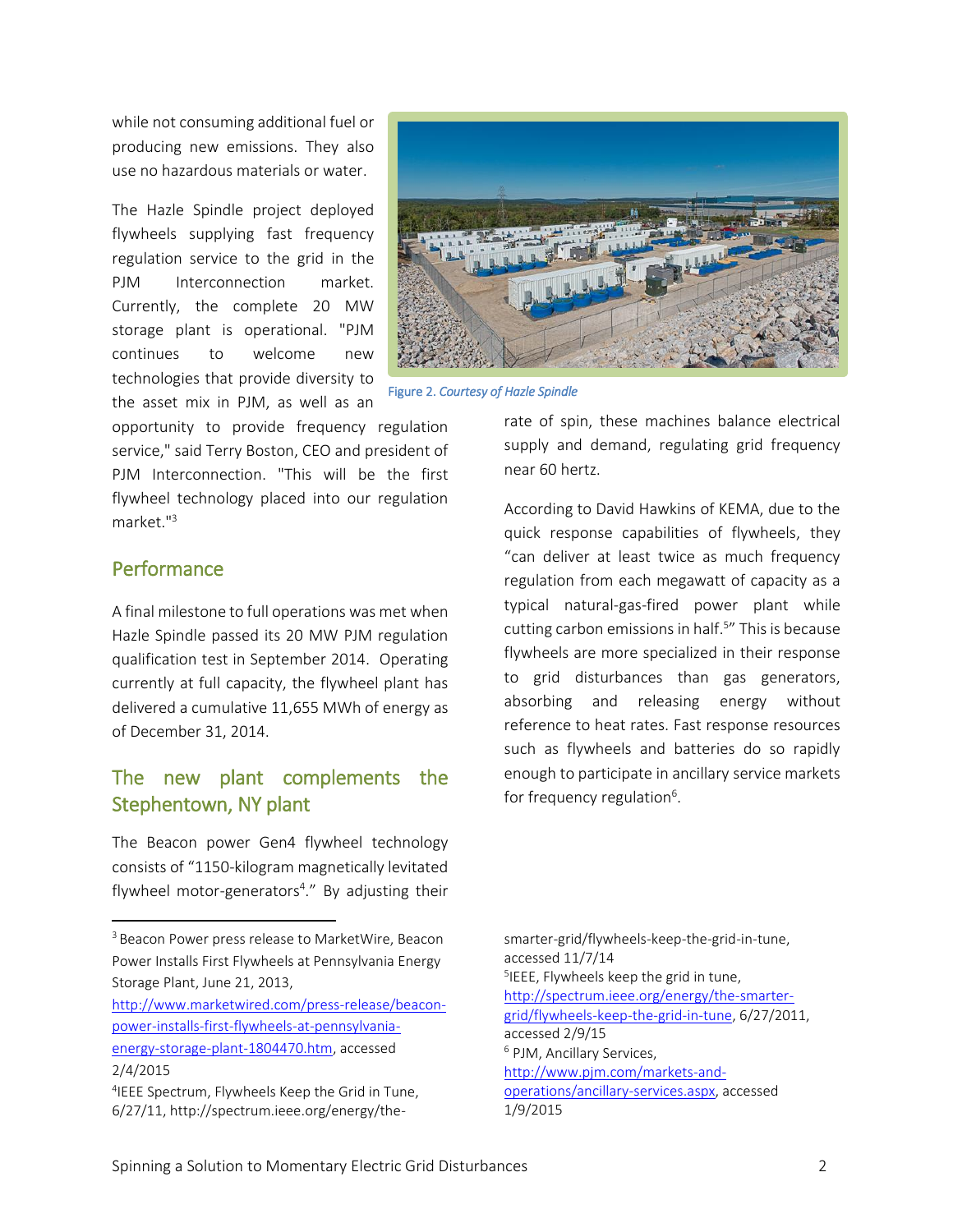while not consuming additional fuel or producing new emissions. They also use no hazardous materials or water.

The Hazle Spindle project deployed flywheels supplying fast frequency regulation service to the grid in the PJM Interconnection market. Currently, the complete 20 MW storage plant is operational. "PJM continues to welcome new technologies that provide diversity to the asset mix in PJM, as well as an



Figure 2. *Courtesy of Hazle Spindle* 

opportunity to provide frequency regulation service," said Terry Boston, CEO and president of PJM Interconnection. "This will be the first flywheel technology placed into our regulation market."<sup>3</sup>

#### Performance

 $\overline{a}$ 

A final milestone to full operations was met when Hazle Spindle passed its 20 MW PJM regulation qualification test in September 2014. Operating currently at full capacity, the flywheel plant has delivered a cumulative 11,655 MWh of energy as of December 31, 2014.

## The new plant complements the Stephentown, NY plant

The Beacon power Gen4 flywheel technology consists of "1150-kilogram magnetically levitated flywheel motor-generators<sup>4</sup>." By adjusting their rate of spin, these machines balance electrical supply and demand, regulating grid frequency near 60 hertz.

According to David Hawkins of KEMA, due to the quick response capabilities of flywheels, they "can deliver at least twice as much frequency regulation from each megawatt of capacity as a typical natural-gas-fired power plant while cutting carbon emissions in half. 5 " This is because flywheels are more specialized in their response to grid disturbances than gas generators, absorbing and releasing energy without reference to heat rates. Fast response resources such as flywheels and batteries do so rapidly enough to participate in ancillary service markets for frequency regulation<sup>6</sup>.

smarter-grid/flywheels-keep-the-grid-in-tune, accessed 11/7/14 5 IEEE, Flywheels keep the grid in tune, [http://spectrum.ieee.org/energy/the-smarter](http://spectrum.ieee.org/energy/the-smarter-grid/flywheels-keep-the-grid-in-tune)[grid/flywheels-keep-the-grid-in-tune,](http://spectrum.ieee.org/energy/the-smarter-grid/flywheels-keep-the-grid-in-tune) 6/27/2011, accessed 2/9/15 <sup>6</sup> PJM, Ancillary Services, [http://www.pjm.com/markets-and](http://www.pjm.com/markets-and-operations/ancillary-services.aspx)[operations/ancillary-services.aspx,](http://www.pjm.com/markets-and-operations/ancillary-services.aspx) accessed 1/9/2015

<sup>&</sup>lt;sup>3</sup> Beacon Power press release to MarketWire, Beacon Power Installs First Flywheels at Pennsylvania Energy Storage Plant, June 21, 2013,

[http://www.marketwired.com/press-release/beacon](http://www.marketwired.com/press-release/beacon-power-installs-first-flywheels-at-pennsylvania-energy-storage-plant-1804470.htm)[power-installs-first-flywheels-at-pennsylvania](http://www.marketwired.com/press-release/beacon-power-installs-first-flywheels-at-pennsylvania-energy-storage-plant-1804470.htm)[energy-storage-plant-1804470.htm,](http://www.marketwired.com/press-release/beacon-power-installs-first-flywheels-at-pennsylvania-energy-storage-plant-1804470.htm) accessed 2/4/2015

<sup>4</sup> IEEE Spectrum, Flywheels Keep the Grid in Tune, 6/27/11, http://spectrum.ieee.org/energy/the-